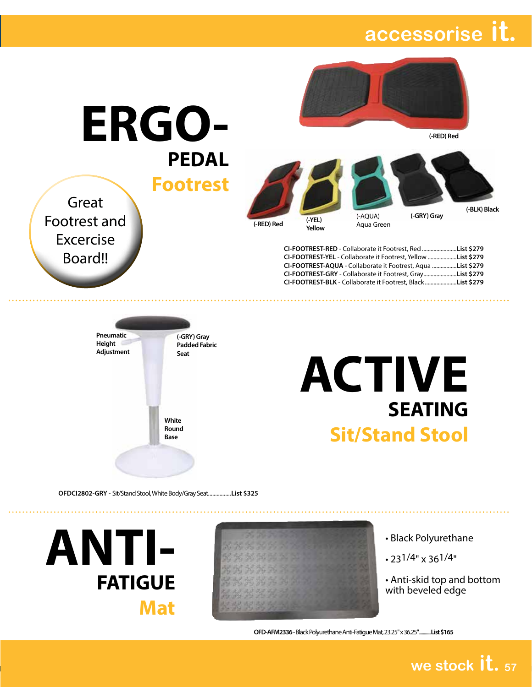#### **collaborate it. collaborate it. accessorise**



**(-RED) Red**

**(-GRY) Gray**

**PEDAL Footrest**

Great

Footrest and

Excercise

Board!!

**ERGO-**



**(-RED) Red (-YEL) Yellow** (-AQUA) Aqua Green

**(-BLK) Black**

**CI-FOOTREST-RED** - Collaborate it Footrest, Red ........................**List \$279 CI-FOOTREST-YEL** - Collaborate it Footrest, Yellow ....................**List \$279 CI-FOOTREST-AQUA** - Collaborate it Footrest, Aqua .................**List \$279 CI-FOOTREST-GRY** - Collaborate it Footrest, Gray.......................**List \$279 CI-FOOTREST-BLK** - Collaborate it Footrest, Black......................**List \$279**





**OFDCI2802-GRY** - Sit/Stand Stool, White Body/Gray Seat................**List \$325**

**ANTI-FATIGUE Mat**

- Black Polyurethane
- 231/4" x 361/4"
- Anti-skid top and bottom with beveled edge

**we stock it. <sup>57</sup>**

**OFD-AFM2336** - Black Polyurethane Anti-Fatigue Mat, 23.25" x 36.25".............**List \$165**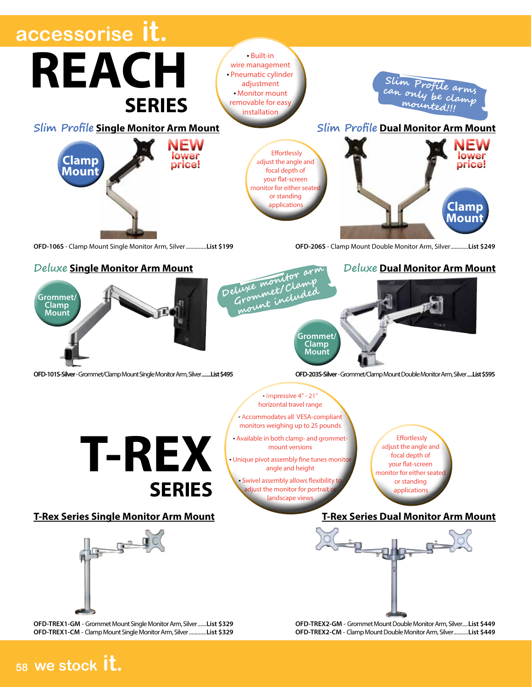

#### **<sup>58</sup> we stock it.**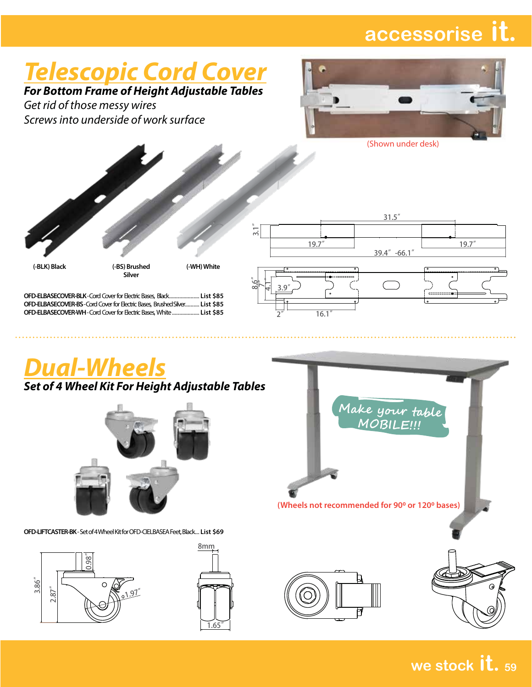## *Telescopic Cord Cover*

*For Bottom Frame of Height Adjustable Tables*

*Get rid of those messy wires Screws into underside of work surface*



(Shown under desk)



 $\ddot{\phantom{0}}$ 

*Dual-Wheels*

*Set of 4 Wheel Kit For Height Adjustable Tables*



**OFD-LIFTCASTER-BK** - Set of 4 Wheel Kit for OFD-CIELBASEA Feet, Black... **List \$69**







**we stock it. <sup>59</sup>**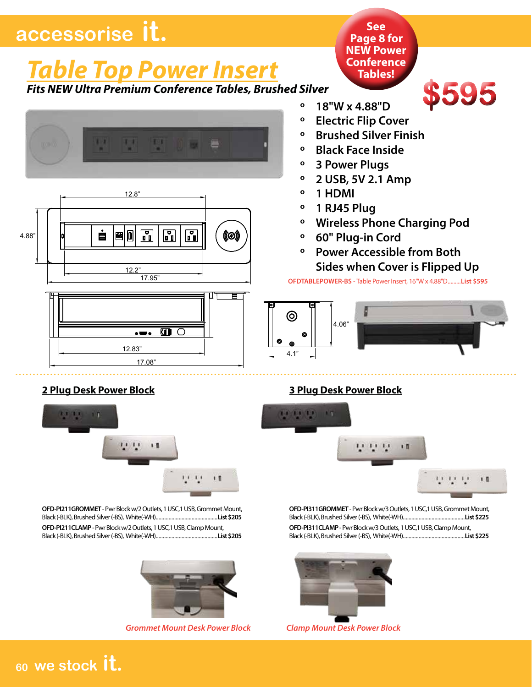## *Table Top Power Insert*

*Fits NEW Ultra Premium Conference Tables, Brushed Silver*







**Conference Tables!**

**See Page 8 for NEW Power** 

# **\$595**

- **º 18"W x 4.88"D º Electric Flip Cover**
- **º Brushed Silver Finish**
- **º Black Face Inside**
- **º 3 Power Plugs**
- **º 2 USB, 5V 2.1 Amp**
- **º 1 HDMI**
- **º 1 RJ45 Plug**
- **º Wireless Phone Charging Pod**
- **º 60" Plug-in Cord**
- **º Power Accessible from Both Sides when Cover is Flipped Up**

**OFDTABLEPOWER-BS** - Table Power Insert, 16"W x 4.88"D.........**List \$595**





**OFD-PI211CLAMP** - Pwr Block w/2 Outlets, 1 USC,1 USB, Clamp Mount, Black (-BLK), Brushed Silver (-BS), White(-WH)...........................................**List \$205 OFD-PI211GROMMET** - Pwr Block w/2 Outlets, 1 USC,1 USB, Grommet Mount, Black (-BLK), Brushed Silver (-BS), White(-WH)...........................................**List \$205**



*Grommet Mount Desk Power Block Clamp Mount Desk Power Block*

#### **2 Plug Desk Power Block 3 Plug Desk Power Block**



**OFD-PI311CLAMP** - Pwr Block w/3 Outlets, 1 USC,1 USB, Clamp Mount, Black (-BLK), Brushed Silver (-BS), White(-WH)...........................................**List \$225 OFD-PI311GROMMET** - Pwr Block w/3 Outlets, 1 USC,1 USB, Grommet Mount, Black (-BLK), Brushed Silver (-BS), White(-WH)...........................................**List \$225**